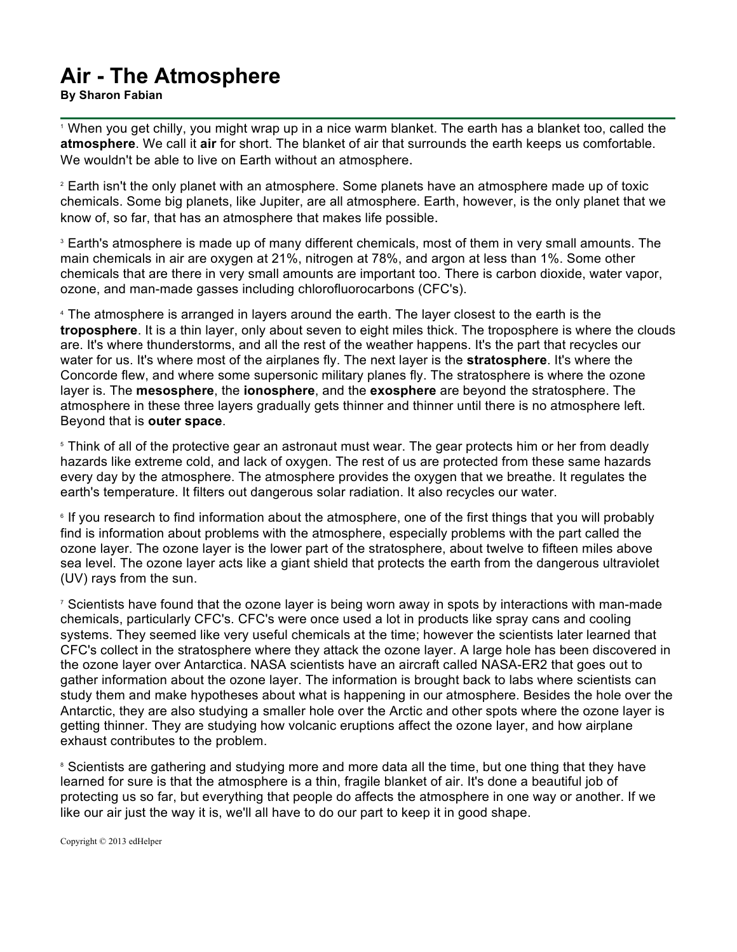## **Air - The Atmosphere**

**By Sharon Fabian**

<sup>1</sup> When you get chilly, you might wrap up in a nice warm blanket. The earth has a blanket too, called the **atmosphere**. We call it **air** for short. The blanket of air that surrounds the earth keeps us comfortable. We wouldn't be able to live on Earth without an atmosphere.

<sup>2</sup> Earth isn't the only planet with an atmosphere. Some planets have an atmosphere made up of toxic chemicals. Some big planets, like Jupiter, are all atmosphere. Earth, however, is the only planet that we know of, so far, that has an atmosphere that makes life possible.

<sup>3</sup> Earth's atmosphere is made up of many different chemicals, most of them in very small amounts. The main chemicals in air are oxygen at 21%, nitrogen at 78%, and argon at less than 1%. Some other chemicals that are there in very small amounts are important too. There is carbon dioxide, water vapor, ozone, and man-made gasses including chlorofluorocarbons (CFC's).

<sup>4</sup> The atmosphere is arranged in layers around the earth. The layer closest to the earth is the **troposphere**. It is a thin layer, only about seven to eight miles thick. The troposphere is where the clouds are. It's where thunderstorms, and all the rest of the weather happens. It's the part that recycles our water for us. It's where most of the airplanes fly. The next layer is the **stratosphere**. It's where the Concorde flew, and where some supersonic military planes fly. The stratosphere is where the ozone layer is. The **mesosphere**, the **ionosphere**, and the **exosphere** are beyond the stratosphere. The atmosphere in these three layers gradually gets thinner and thinner until there is no atmosphere left. Beyond that is **outer space**.

<sup>5</sup> Think of all of the protective gear an astronaut must wear. The gear protects him or her from deadly hazards like extreme cold, and lack of oxygen. The rest of us are protected from these same hazards every day by the atmosphere. The atmosphere provides the oxygen that we breathe. It regulates the earth's temperature. It filters out dangerous solar radiation. It also recycles our water.

<sup>6</sup> If you research to find information about the atmosphere, one of the first things that you will probably find is information about problems with the atmosphere, especially problems with the part called the ozone layer. The ozone layer is the lower part of the stratosphere, about twelve to fifteen miles above sea level. The ozone layer acts like a giant shield that protects the earth from the dangerous ultraviolet (UV) rays from the sun.

<sup>7</sup> Scientists have found that the ozone layer is being worn away in spots by interactions with man-made chemicals, particularly CFC's. CFC's were once used a lot in products like spray cans and cooling systems. They seemed like very useful chemicals at the time; however the scientists later learned that CFC's collect in the stratosphere where they attack the ozone layer. A large hole has been discovered in the ozone layer over Antarctica. NASA scientists have an aircraft called NASA-ER2 that goes out to gather information about the ozone layer. The information is brought back to labs where scientists can study them and make hypotheses about what is happening in our atmosphere. Besides the hole over the Antarctic, they are also studying a smaller hole over the Arctic and other spots where the ozone layer is getting thinner. They are studying how volcanic eruptions affect the ozone layer, and how airplane exhaust contributes to the problem.

<sup>8</sup> Scientists are gathering and studying more and more data all the time, but one thing that they have learned for sure is that the atmosphere is a thin, fragile blanket of air. It's done a beautiful job of protecting us so far, but everything that people do affects the atmosphere in one way or another. If we like our air just the way it is, we'll all have to do our part to keep it in good shape.

Copyright © 2013 edHelper